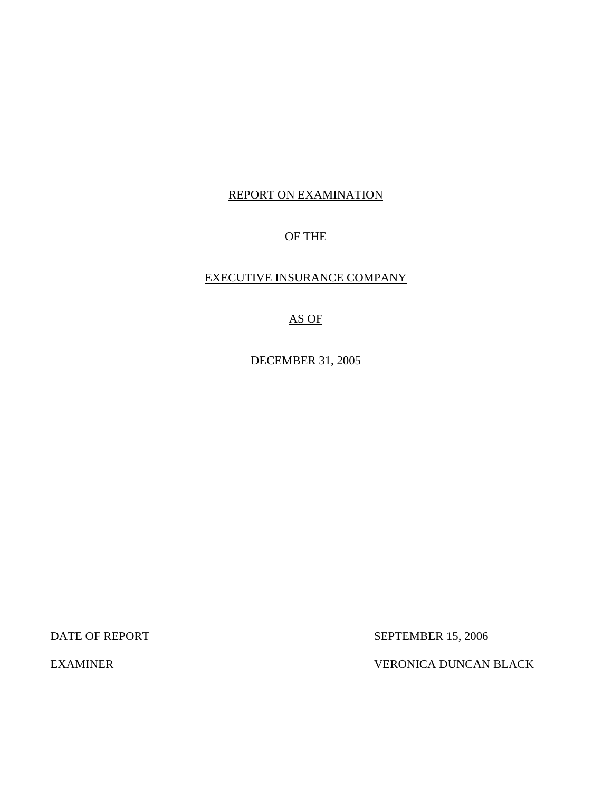# REPORT ON EXAMINATION

# OF THE

# EXECUTIVE INSURANCE COMPANY

# AS OF

DECEMBER 31, 2005

DATE OF REPORT SEPTEMBER 15, 2006

EXAMINER VERONICA DUNCAN BLACK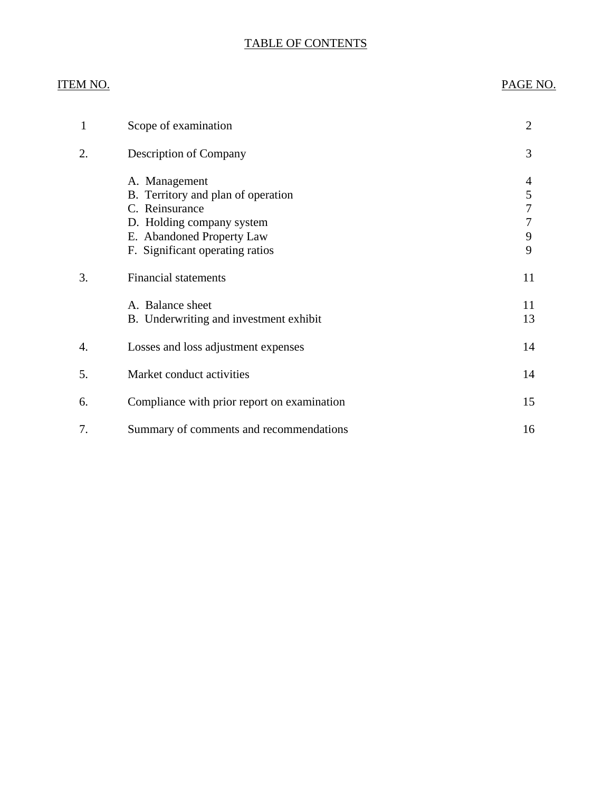## TABLE OF CONTENTS

# ITEM NO. PAGE NO.

| $\mathbf{1}$ | Scope of examination                                                                                                                                               | $\overline{2}$             |
|--------------|--------------------------------------------------------------------------------------------------------------------------------------------------------------------|----------------------------|
| 2.           | Description of Company                                                                                                                                             | 3                          |
|              | A. Management<br>B. Territory and plan of operation<br>C. Reinsurance<br>D. Holding company system<br>E. Abandoned Property Law<br>F. Significant operating ratios | 4<br>5<br>7<br>7<br>9<br>9 |
| 3.           | <b>Financial statements</b>                                                                                                                                        | 11                         |
|              | A. Balance sheet<br>B. Underwriting and investment exhibit                                                                                                         | 11<br>13                   |
| 4.           | Losses and loss adjustment expenses                                                                                                                                | 14                         |
| 5.           | Market conduct activities                                                                                                                                          | 14                         |
| 6.           | Compliance with prior report on examination                                                                                                                        | 15                         |
| 7.           | Summary of comments and recommendations                                                                                                                            | 16                         |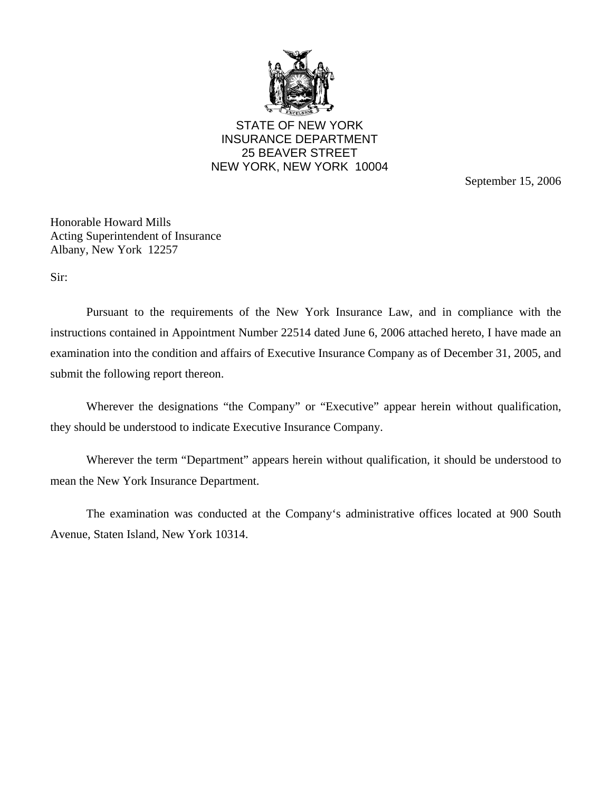

STATE OF NEW YORK INSURANCE DEPARTMENT 25 BEAVER STREET NEW YORK, NEW YORK 10004

September 15, 2006

Honorable Howard Mills Acting Superintendent of Insurance Albany, New York 12257

Sir:

Pursuant to the requirements of the New York Insurance Law, and in compliance with the instructions contained in Appointment Number 22514 dated June 6, 2006 attached hereto, I have made an examination into the condition and affairs of Executive Insurance Company as of December 31, 2005, and submit the following report thereon.

Wherever the designations "the Company" or "Executive" appear herein without qualification, they should be understood to indicate Executive Insurance Company.

Wherever the term "Department" appears herein without qualification, it should be understood to mean the New York Insurance Department.

The examination was conducted at the Company's administrative offices located at 900 South Avenue, Staten Island, New York 10314.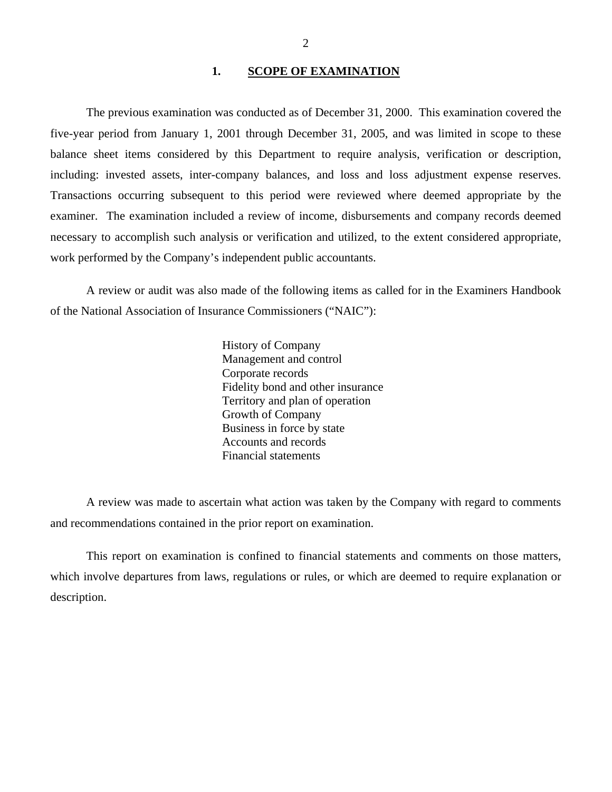#### **1. SCOPE OF EXAMINATION**

<span id="page-3-0"></span>The previous examination was conducted as of December 31, 2000. This examination covered the five-year period from January 1, 2001 through December 31, 2005, and was limited in scope to these balance sheet items considered by this Department to require analysis, verification or description, including: invested assets, inter-company balances, and loss and loss adjustment expense reserves. Transactions occurring subsequent to this period were reviewed where deemed appropriate by the examiner. The examination included a review of income, disbursements and company records deemed necessary to accomplish such analysis or verification and utilized, to the extent considered appropriate, work performed by the Company's independent public accountants.

A review or audit was also made of the following items as called for in the Examiners Handbook of the National Association of Insurance Commissioners ("NAIC"):

> History of Company Management and control Corporate records Fidelity bond and other insurance Territory and plan of operation Growth of Company Business in force by state Accounts and records Financial statements

A review was made to ascertain what action was taken by the Company with regard to comments and recommendations contained in the prior report on examination.

This report on examination is confined to financial statements and comments on those matters, which involve departures from laws, regulations or rules, or which are deemed to require explanation or description.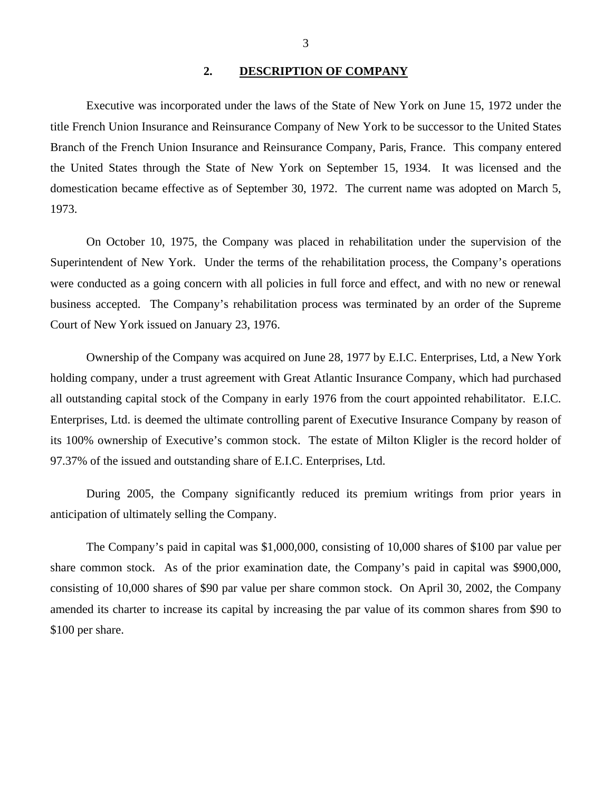#### **2. DESCRIPTION OF COMPANY**

<span id="page-4-0"></span>Executive was incorporated under the laws of the State of New York on June 15, 1972 under the title French Union Insurance and Reinsurance Company of New York to be successor to the United States Branch of the French Union Insurance and Reinsurance Company, Paris, France. This company entered the United States through the State of New York on September 15, 1934. It was licensed and the domestication became effective as of September 30, 1972. The current name was adopted on March 5, 1973.

On October 10, 1975, the Company was placed in rehabilitation under the supervision of the Superintendent of New York. Under the terms of the rehabilitation process, the Company's operations were conducted as a going concern with all policies in full force and effect, and with no new or renewal business accepted. The Company's rehabilitation process was terminated by an order of the Supreme Court of New York issued on January 23, 1976.

Ownership of the Company was acquired on June 28, 1977 by E.I.C. Enterprises, Ltd, a New York holding company, under a trust agreement with Great Atlantic Insurance Company, which had purchased all outstanding capital stock of the Company in early 1976 from the court appointed rehabilitator. E.I.C. Enterprises, Ltd. is deemed the ultimate controlling parent of Executive Insurance Company by reason of its 100% ownership of Executive's common stock. The estate of Milton Kligler is the record holder of 97.37% of the issued and outstanding share of E.I.C. Enterprises, Ltd.

During 2005, the Company significantly reduced its premium writings from prior years in anticipation of ultimately selling the Company.

The Company's paid in capital was \$1,000,000, consisting of 10,000 shares of \$100 par value per share common stock. As of the prior examination date, the Company's paid in capital was \$900,000, consisting of 10,000 shares of \$90 par value per share common stock. On April 30, 2002, the Company amended its charter to increase its capital by increasing the par value of its common shares from \$90 to \$100 per share.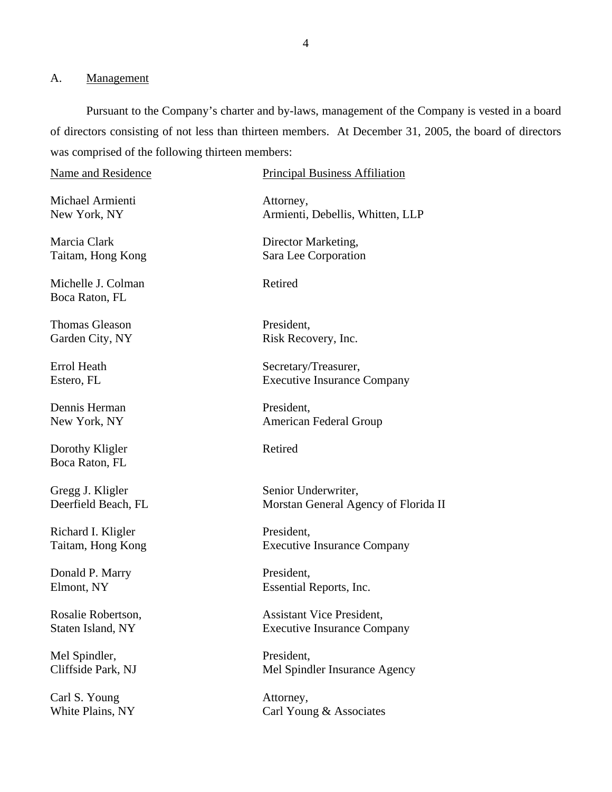#### <span id="page-5-0"></span>A. Management

White Plains, NY

Pursuant to the Company's charter and by-laws, management of the Company is vested in a board of directors consisting of not less than thirteen members. At December 31, 2005, the board of directors was comprised of the following thirteen members:

Name and Residence Michael Armienti New York, NY Marcia Clark Taitam, Hong Kong Michelle J. Colman Boca Raton, FL Thomas Gleason Garden City, NY Errol Heath Estero, FL Dennis Herman New York, NY Dorothy Kligler Boca Raton, FL Gregg J. Kligler Deerfield Beach, FL Richard I. Kligler Taitam, Hong Kong Donald P. Marry Elmont, NY Rosalie Robertson, Staten Island, NY Mel Spindler, Cliffside Park, NJ Carl S. Young Principal Business Affiliation Attorney, Armienti, Debellis, Whitten, LLP Director Marketing, Sara Lee Corporation Retired President, Risk Recovery, Inc. Secretary/Treasurer, Executive Insurance Company President, American Federal Group Retired Senior Underwriter, Morstan General Agency of Florida II President, Executive Insurance Company President, Essential Reports, Inc. Assistant Vice President, Executive Insurance Company President, Mel Spindler Insurance Agency Attorney,

Carl Young & Associates

4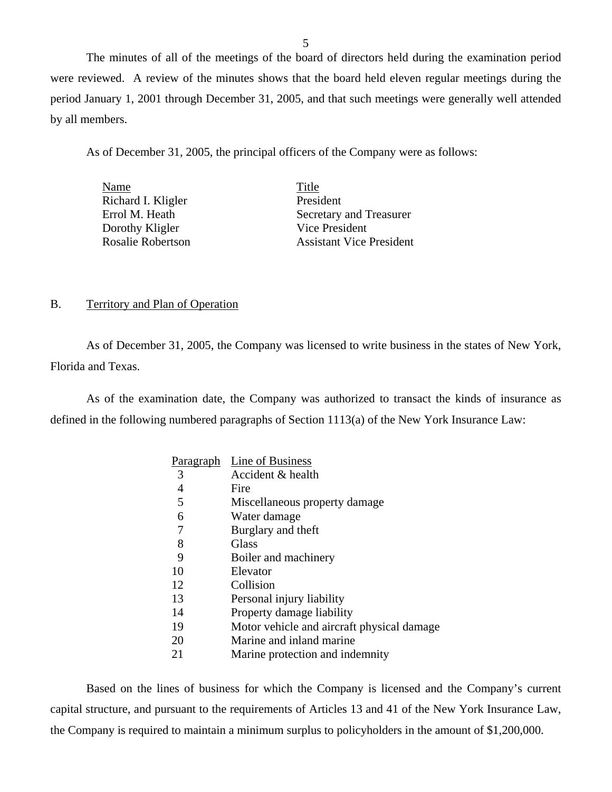The minutes of all of the meetings of the board of directors held during the examination period were reviewed. A review of the minutes shows that the board held eleven regular meetings during the period January 1, 2001 through December 31, 2005, and that such meetings were generally well attended by all members.

As of December 31, 2005, the principal officers of the Company were as follows:

| Name                     | Title                           |
|--------------------------|---------------------------------|
| Richard I. Kligler       | President                       |
| Errol M. Heath           | Secretary and Treasurer         |
| Dorothy Kligler          | Vice President                  |
| <b>Rosalie Robertson</b> | <b>Assistant Vice President</b> |

#### B. Territory and Plan of Operation

As of December 31, 2005, the Company was licensed to write business in the states of New York, Florida and Texas.

As of the examination date, the Company was authorized to transact the kinds of insurance as defined in the following numbered paragraphs of Section 1113(a) of the New York Insurance Law:

|    | Paragraph Line of Business                 |
|----|--------------------------------------------|
| 3  | Accident & health                          |
| 4  | Fire                                       |
| 5  | Miscellaneous property damage              |
| 6  | Water damage                               |
| 7  | Burglary and theft                         |
| 8  | Glass                                      |
| 9  | Boiler and machinery                       |
| 10 | Elevator                                   |
| 12 | Collision                                  |
| 13 | Personal injury liability                  |
| 14 | Property damage liability                  |
| 19 | Motor vehicle and aircraft physical damage |
| 20 | Marine and inland marine                   |
| 21 | Marine protection and indemnity            |

Based on the lines of business for which the Company is licensed and the Company's current capital structure, and pursuant to the requirements of Articles 13 and 41 of the New York Insurance Law, the Company is required to maintain a minimum surplus to policyholders in the amount of \$1,200,000.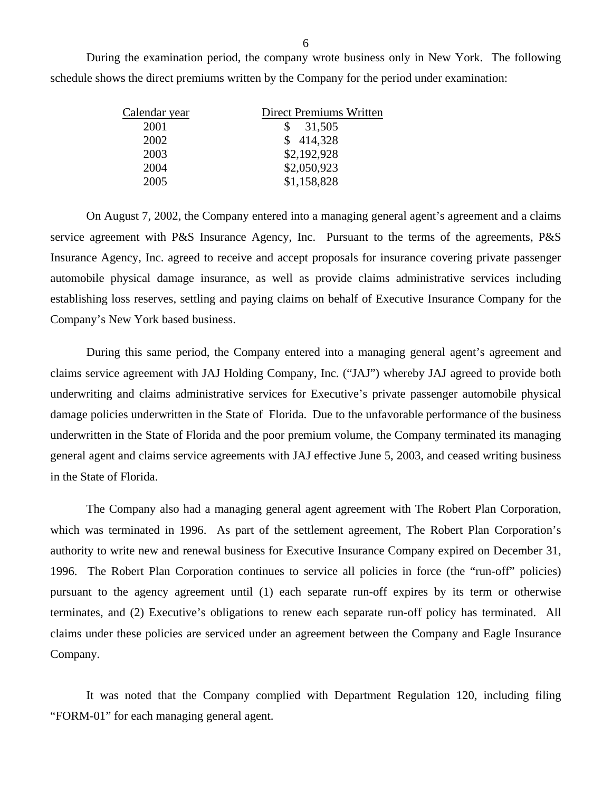During the examination period, the company wrote business only in New York. The following schedule shows the direct premiums written by the Company for the period under examination:

| Calendar year | <b>Direct Premiums Written</b> |
|---------------|--------------------------------|
| 2001          | \$31,505                       |
| 2002          | \$414,328                      |
| 2003          | \$2,192,928                    |
| 2004          | \$2,050,923                    |
| 2005          | \$1,158,828                    |

On August 7, 2002, the Company entered into a managing general agent's agreement and a claims service agreement with P&S Insurance Agency, Inc. Pursuant to the terms of the agreements, P&S Insurance Agency, Inc. agreed to receive and accept proposals for insurance covering private passenger automobile physical damage insurance, as well as provide claims administrative services including establishing loss reserves, settling and paying claims on behalf of Executive Insurance Company for the Company's New York based business.

During this same period, the Company entered into a managing general agent's agreement and claims service agreement with JAJ Holding Company, Inc. ("JAJ") whereby JAJ agreed to provide both underwriting and claims administrative services for Executive's private passenger automobile physical damage policies underwritten in the State of Florida. Due to the unfavorable performance of the business underwritten in the State of Florida and the poor premium volume, the Company terminated its managing general agent and claims service agreements with JAJ effective June 5, 2003, and ceased writing business in the State of Florida.

The Company also had a managing general agent agreement with The Robert Plan Corporation, which was terminated in 1996. As part of the settlement agreement, The Robert Plan Corporation's authority to write new and renewal business for Executive Insurance Company expired on December 31, 1996. The Robert Plan Corporation continues to service all policies in force (the "run-off" policies) pursuant to the agency agreement until (1) each separate run-off expires by its term or otherwise terminates, and (2) Executive's obligations to renew each separate run-off policy has terminated. All claims under these policies are serviced under an agreement between the Company and Eagle Insurance Company.

It was noted that the Company complied with Department Regulation 120, including filing "FORM-01" for each managing general agent.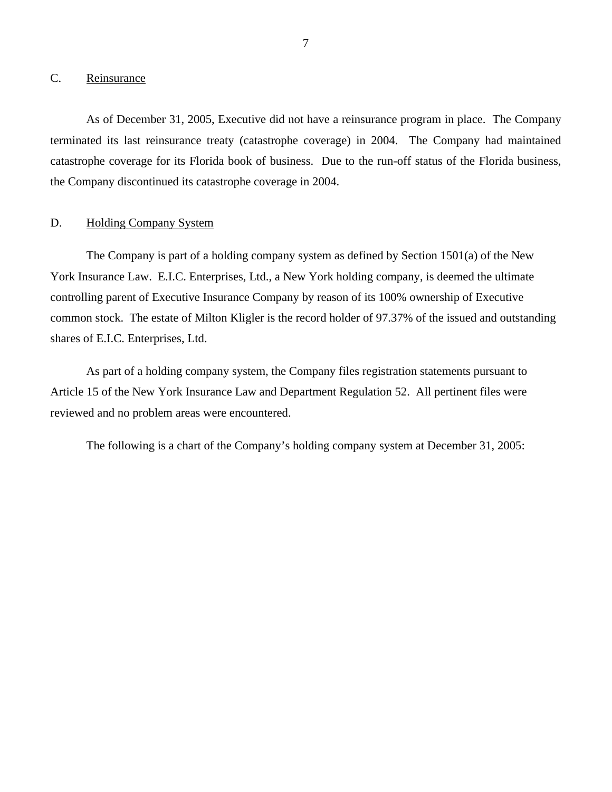### <span id="page-8-0"></span>C. Reinsurance

As of December 31, 2005, Executive did not have a reinsurance program in place. The Company terminated its last reinsurance treaty (catastrophe coverage) in 2004. The Company had maintained catastrophe coverage for its Florida book of business. Due to the run-off status of the Florida business, the Company discontinued its catastrophe coverage in 2004.

#### D. Holding Company System

The Company is part of a holding company system as defined by Section 1501(a) of the New York Insurance Law. E.I.C. Enterprises, Ltd., a New York holding company, is deemed the ultimate controlling parent of Executive Insurance Company by reason of its 100% ownership of Executive common stock. The estate of Milton Kligler is the record holder of 97.37% of the issued and outstanding shares of E.I.C. Enterprises, Ltd.

As part of a holding company system, the Company files registration statements pursuant to Article 15 of the New York Insurance Law and Department Regulation 52. All pertinent files were reviewed and no problem areas were encountered.

The following is a chart of the Company's holding company system at December 31, 2005: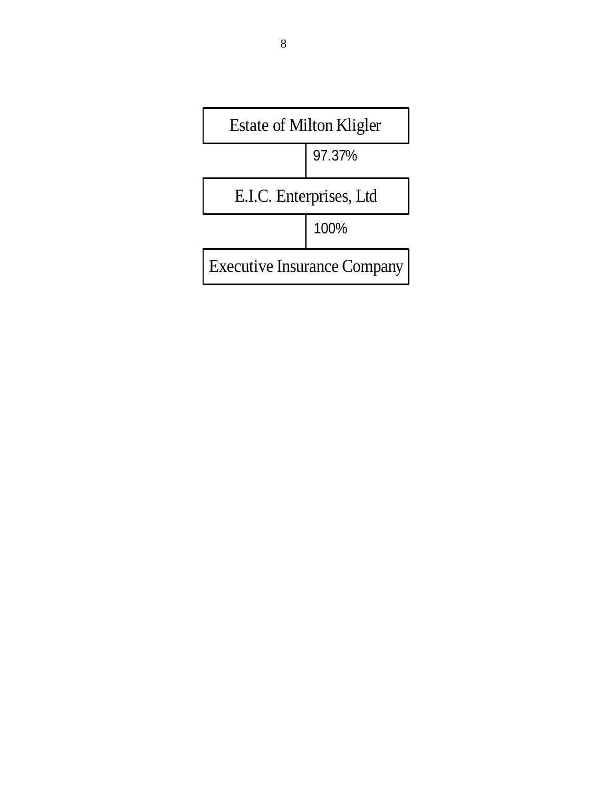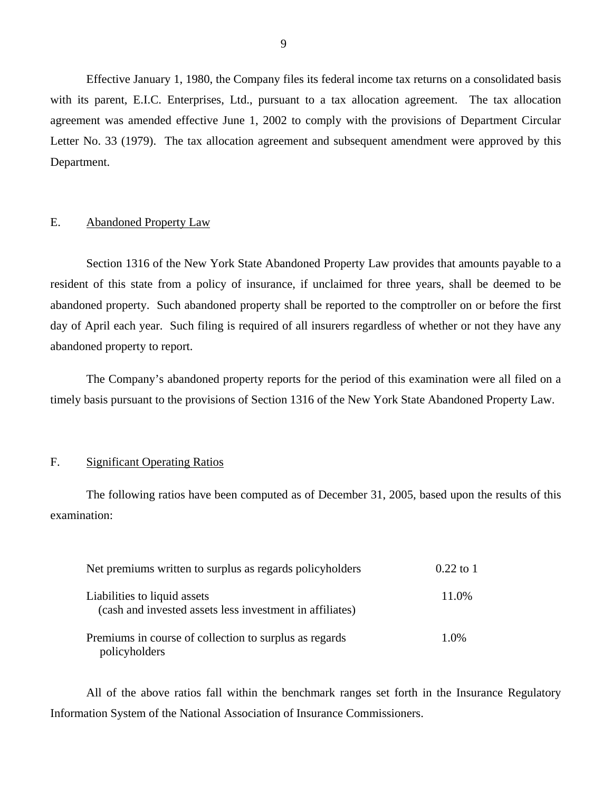<span id="page-10-0"></span>Effective January 1, 1980, the Company files its federal income tax returns on a consolidated basis with its parent, E.I.C. Enterprises, Ltd., pursuant to a tax allocation agreement. The tax allocation agreement was amended effective June 1, 2002 to comply with the provisions of Department Circular Letter No. 33 (1979). The tax allocation agreement and subsequent amendment were approved by this Department.

#### E. Abandoned Property Law

Section 1316 of the New York State Abandoned Property Law provides that amounts payable to a resident of this state from a policy of insurance, if unclaimed for three years, shall be deemed to be abandoned property. Such abandoned property shall be reported to the comptroller on or before the first day of April each year. Such filing is required of all insurers regardless of whether or not they have any abandoned property to report.

The Company's abandoned property reports for the period of this examination were all filed on a timely basis pursuant to the provisions of Section 1316 of the New York State Abandoned Property Law.

#### F. Significant Operating Ratios

The following ratios have been computed as of December 31, 2005, based upon the results of this examination:

| Net premiums written to surplus as regards policyholders                                 | $0.22$ to 1 |
|------------------------------------------------------------------------------------------|-------------|
| Liabilities to liquid assets<br>(cash and invested assets less investment in affiliates) | 11.0%       |
| Premiums in course of collection to surplus as regards<br>policyholders                  | 1.0%        |

All of the above ratios fall within the benchmark ranges set forth in the Insurance Regulatory Information System of the National Association of Insurance Commissioners.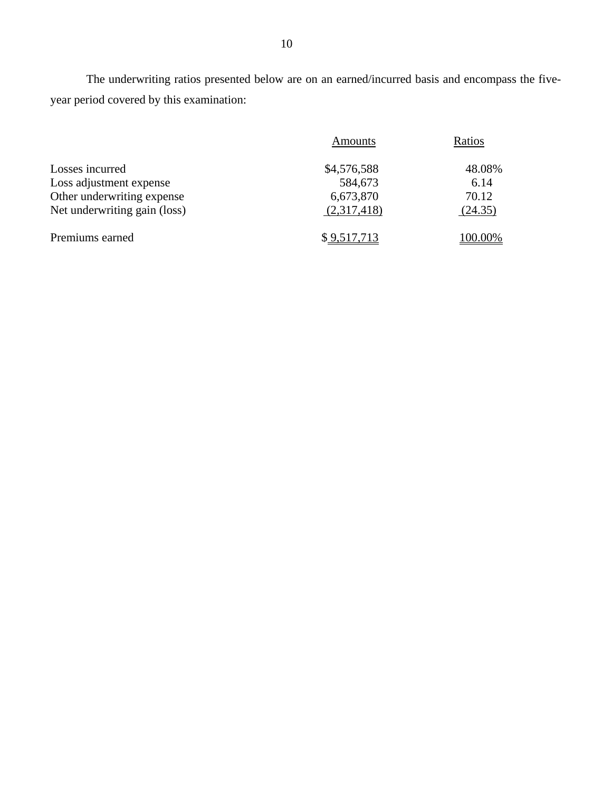The underwriting ratios presented below are on an earned/incurred basis and encompass the fiveyear period covered by this examination:

|                              | Amounts     | Ratios  |
|------------------------------|-------------|---------|
| Losses incurred              | \$4,576,588 | 48.08%  |
| Loss adjustment expense      | 584,673     | 6.14    |
| Other underwriting expense   | 6,673,870   | 70.12   |
| Net underwriting gain (loss) | (2,317,418) | (24.35) |
| Premiums earned              | \$9,517,713 | 100.00% |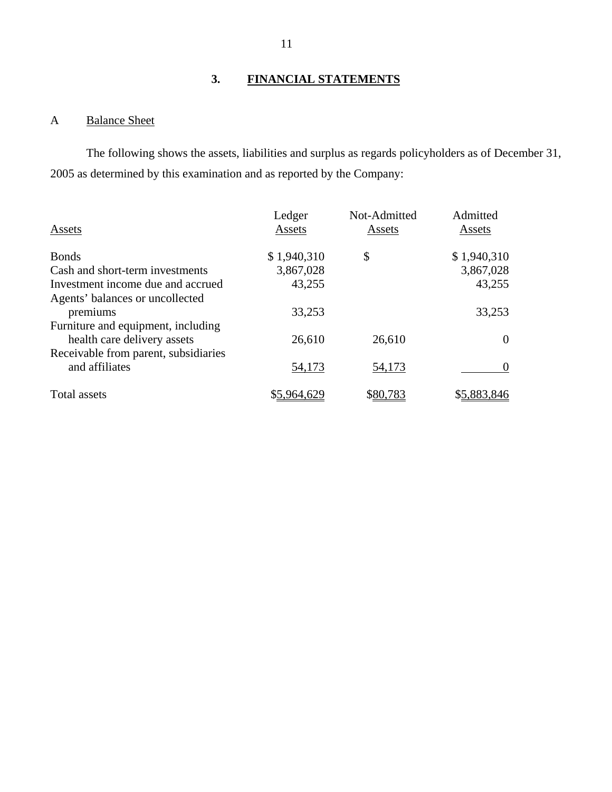# **3. FINANCIAL STATEMENTS**

# A Balance Sheet

The following shows the assets, liabilities and surplus as regards policyholders as of December 31, 2005 as determined by this examination and as reported by the Company:

| Assets                               | Ledger<br>Assets | Not-Admitted<br>Assets | Admitted<br>Assets |
|--------------------------------------|------------------|------------------------|--------------------|
| <b>Bonds</b>                         | \$1,940,310      | \$                     | \$1,940,310        |
| Cash and short-term investments      | 3,867,028        |                        | 3,867,028          |
| Investment income due and accrued    | 43,255           |                        | 43,255             |
| Agents' balances or uncollected      |                  |                        |                    |
| premiums                             | 33,253           |                        | 33,253             |
| Furniture and equipment, including   |                  |                        |                    |
| health care delivery assets          | 26,610           | 26,610                 | $\theta$           |
| Receivable from parent, subsidiaries |                  |                        |                    |
| and affiliates                       | 54,173           | 54,173                 |                    |
| Total assets                         | \$5,964,629      | \$80,783               | \$5,883,846        |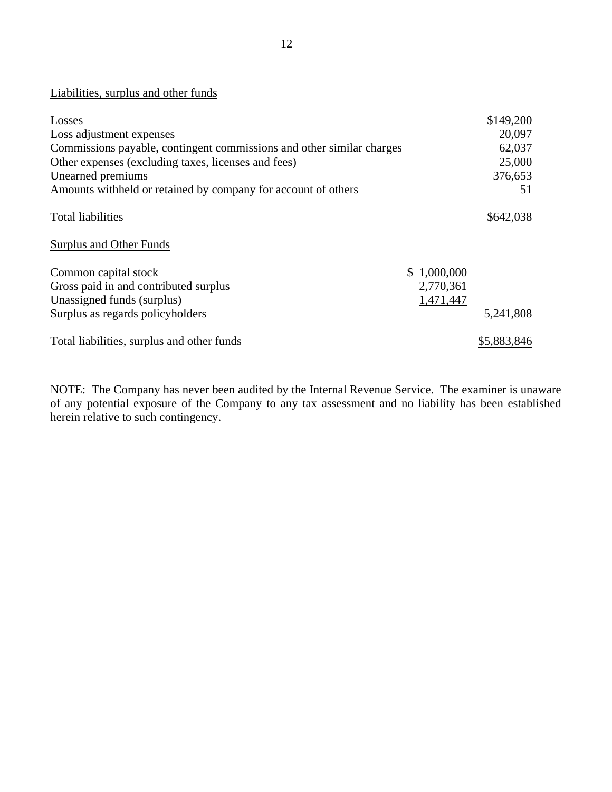Liabilities, surplus and other funds

| Losses                                                                |             | \$149,200   |
|-----------------------------------------------------------------------|-------------|-------------|
| Loss adjustment expenses                                              |             | 20,097      |
| Commissions payable, contingent commissions and other similar charges |             | 62,037      |
| Other expenses (excluding taxes, licenses and fees)                   |             | 25,000      |
| Unearned premiums                                                     |             | 376,653     |
| Amounts withheld or retained by company for account of others         |             | <u>51</u>   |
| <b>Total liabilities</b>                                              |             | \$642,038   |
| <b>Surplus and Other Funds</b>                                        |             |             |
| Common capital stock                                                  | \$1,000,000 |             |
| Gross paid in and contributed surplus                                 | 2,770,361   |             |
| Unassigned funds (surplus)                                            | 1,471,447   |             |
| Surplus as regards policyholders                                      |             | 5,241,808   |
| Total liabilities, surplus and other funds                            |             | \$5,883,846 |

NOTE: The Company has never been audited by the Internal Revenue Service. The examiner is unaware of any potential exposure of the Company to any tax assessment and no liability has been established herein relative to such contingency.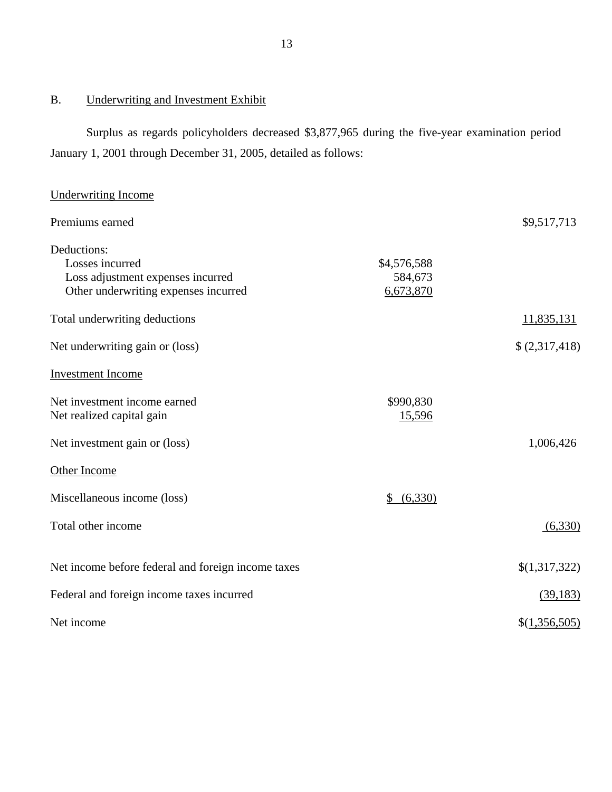# B. Underwriting and Investment Exhibit

Surplus as regards policyholders decreased \$3,877,965 during the five-year examination period January 1, 2001 through December 31, 2005, detailed as follows:

# Underwriting Income

| Premiums earned                                    |               | \$9,517,713   |
|----------------------------------------------------|---------------|---------------|
| Deductions:                                        |               |               |
| Losses incurred                                    | \$4,576,588   |               |
| Loss adjustment expenses incurred                  | 584,673       |               |
| Other underwriting expenses incurred               | 6,673,870     |               |
| Total underwriting deductions                      |               | 11,835,131    |
| Net underwriting gain or (loss)                    |               | \$(2,317,418) |
| <b>Investment Income</b>                           |               |               |
| Net investment income earned                       | \$990,830     |               |
| Net realized capital gain                          | 15,596        |               |
| Net investment gain or (loss)                      |               | 1,006,426     |
| Other Income                                       |               |               |
| Miscellaneous income (loss)                        | (6,330)<br>\$ |               |
| Total other income                                 |               | (6,330)       |
| Net income before federal and foreign income taxes |               | \$(1,317,322) |
| Federal and foreign income taxes incurred          |               | (39, 183)     |
| Net income                                         |               | \$(1,356,505) |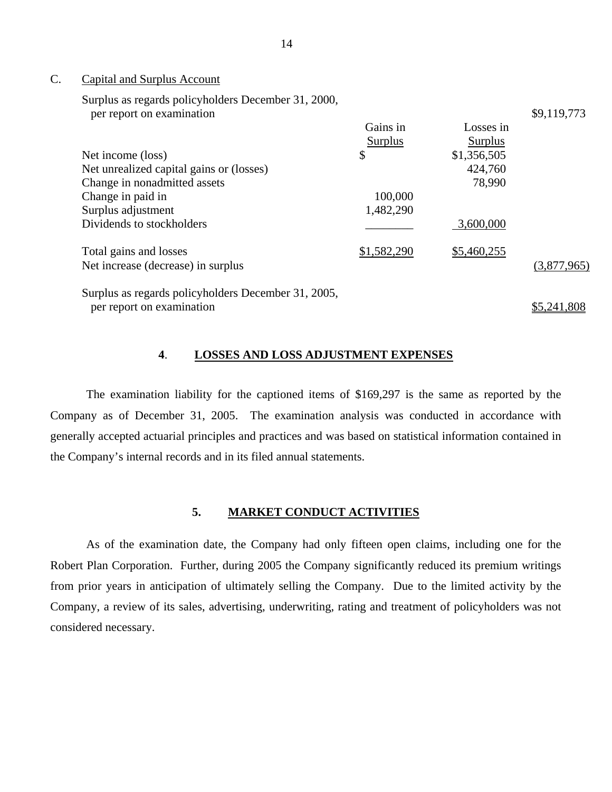#### C. Capital and Surplus Account

Surplus as regards policyholders December 31, 2000, per report on examination

| per report on enammation                            |                |                | . <i>. .</i> |
|-----------------------------------------------------|----------------|----------------|--------------|
|                                                     | Gains in       | Losses in      |              |
|                                                     | <b>Surplus</b> | <b>Surplus</b> |              |
| Net income (loss)                                   | \$             | \$1,356,505    |              |
| Net unrealized capital gains or (losses)            |                | 424,760        |              |
| Change in nonadmitted assets                        |                | 78,990         |              |
| Change in paid in                                   | 100,000        |                |              |
| Surplus adjustment                                  | 1,482,290      |                |              |
| Dividends to stockholders                           |                | 3,600,000      |              |
| Total gains and losses                              | \$1,582,290    | \$5,460,255    |              |
| Net increase (decrease) in surplus                  |                |                | (3,877,965)  |
| Surplus as regards policyholders December 31, 2005, |                |                |              |
| per report on examination                           |                |                | \$5,241,808  |

\$9,119,773

#### **4**. **LOSSES AND LOSS ADJUSTMENT EXPENSES**

The examination liability for the captioned items of \$169,297 is the same as reported by the Company as of December 31, 2005. The examination analysis was conducted in accordance with generally accepted actuarial principles and practices and was based on statistical information contained in the Company's internal records and in its filed annual statements.

#### **5. MARKET CONDUCT ACTIVITIES**

As of the examination date, the Company had only fifteen open claims, including one for the Robert Plan Corporation. Further, during 2005 the Company significantly reduced its premium writings from prior years in anticipation of ultimately selling the Company. Due to the limited activity by the Company, a review of its sales, advertising, underwriting, rating and treatment of policyholders was not considered necessary.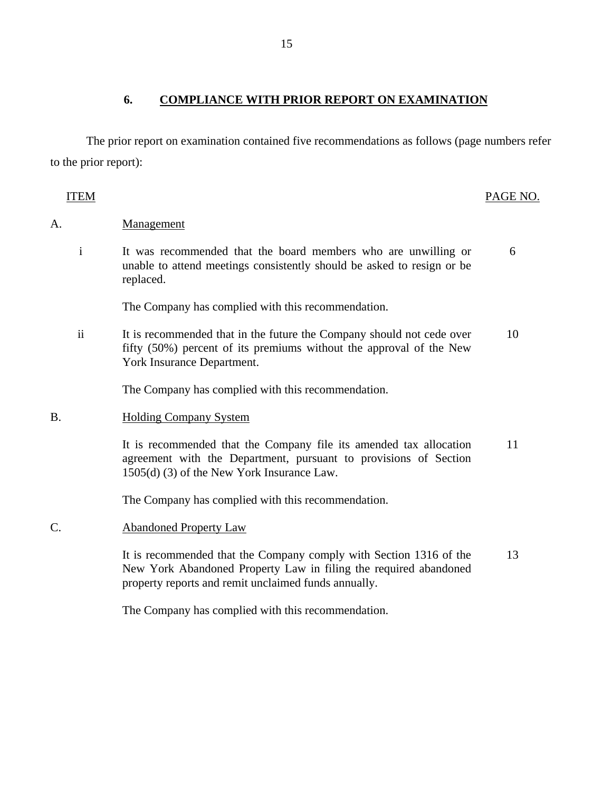# **6. COMPLIANCE WITH PRIOR REPORT ON EXAMINATION**

The prior report on examination contained five recommendations as follows (page numbers refer to the prior report):

| TEM          |                                                                                                                                                                                                | PAGE NO. |
|--------------|------------------------------------------------------------------------------------------------------------------------------------------------------------------------------------------------|----------|
| A.           | Management                                                                                                                                                                                     |          |
| $\mathbf{i}$ | It was recommended that the board members who are unwilling or<br>unable to attend meetings consistently should be asked to resign or be<br>replaced.                                          | 6        |
|              | The Company has complied with this recommendation.                                                                                                                                             |          |
| $\rm ii$     | It is recommended that in the future the Company should not cede over<br>fifty (50%) percent of its premiums without the approval of the New<br>York Insurance Department.                     | 10       |
|              | The Company has complied with this recommendation.                                                                                                                                             |          |
| B.           | <b>Holding Company System</b>                                                                                                                                                                  |          |
|              | It is recommended that the Company file its amended tax allocation<br>agreement with the Department, pursuant to provisions of Section<br>1505(d) (3) of the New York Insurance Law.           | 11       |
|              | The Company has complied with this recommendation.                                                                                                                                             |          |
| C.           | <b>Abandoned Property Law</b>                                                                                                                                                                  |          |
|              | It is recommended that the Company comply with Section 1316 of the<br>New York Abandoned Property Law in filing the required abandoned<br>property reports and remit unclaimed funds annually. | 13       |
|              | The Company has complied with this recommendation.                                                                                                                                             |          |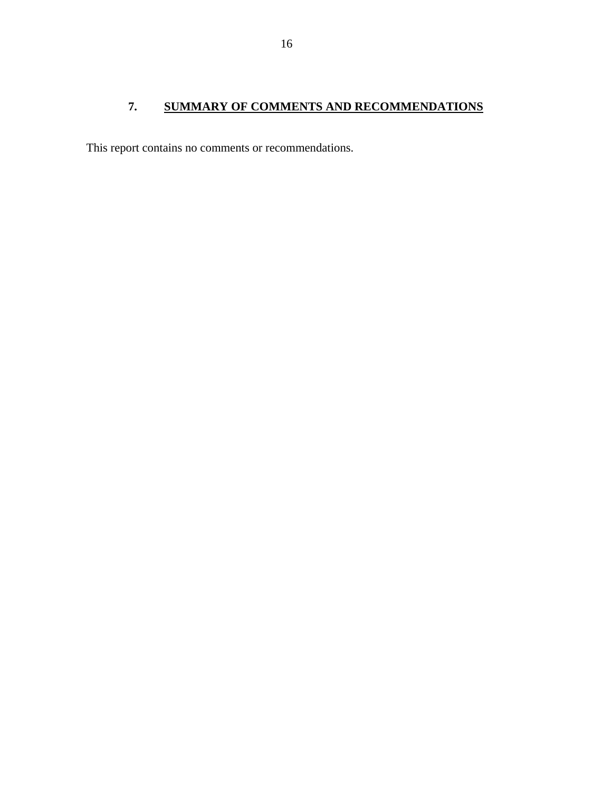# <span id="page-17-0"></span>**7. SUMMARY OF COMMENTS AND RECOMMENDATIONS**

This report contains no comments or recommendations.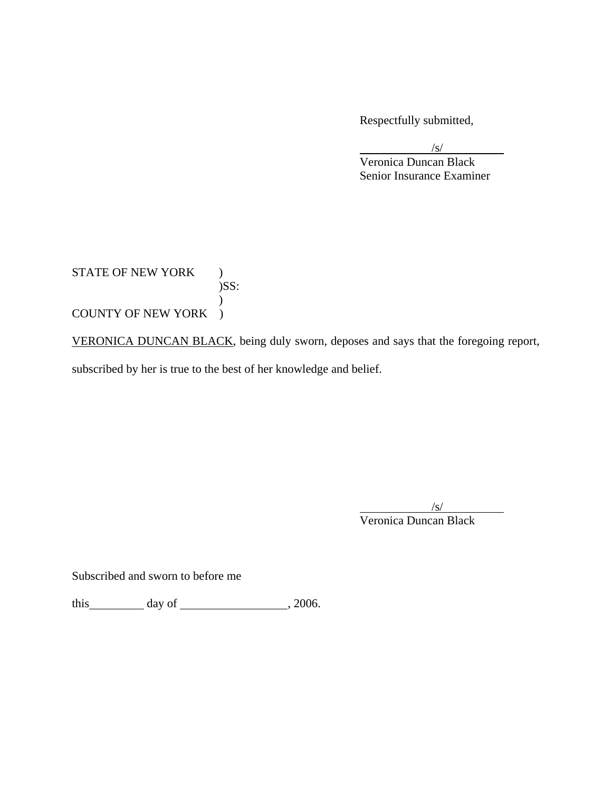Respectfully submitted,

 $\sqrt{s}$ /s/ Veronica Duncan Black Senior Insurance Examiner

STATE OF NEW YORK )  $)$ SS:  $\mathcal{L}$ COUNTY OF NEW YORK )

VERONICA DUNCAN BLACK, being duly sworn, deposes and says that the foregoing report,

subscribed by her is true to the best of her knowledge and belief.

 $\sqrt{s}$ Veronica Duncan Black

Subscribed and sworn to before me

this  $\qquad \qquad \text{day of} \qquad \qquad .2006.$